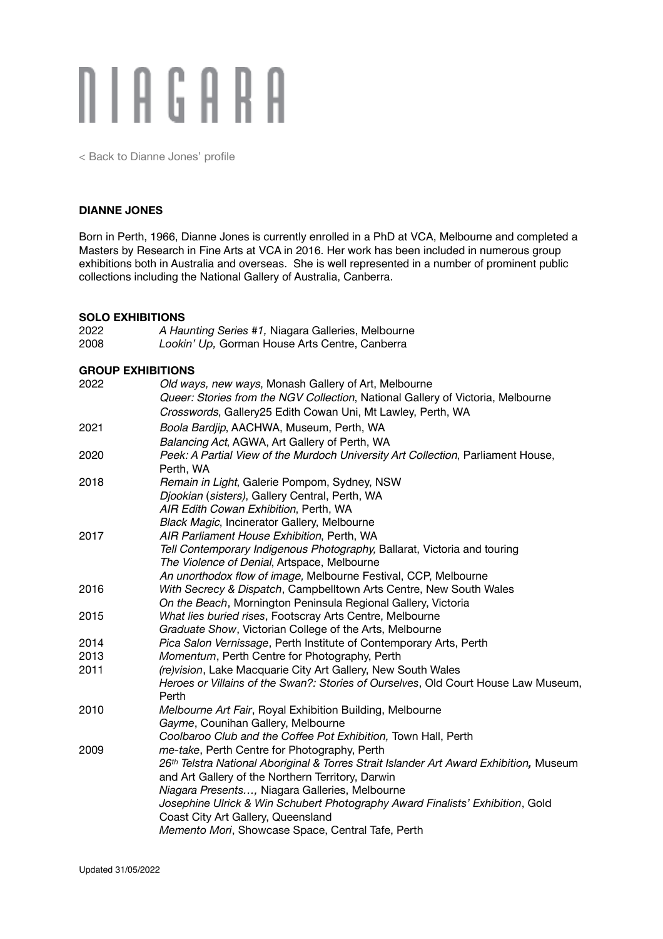# **NIAGARA**

[< Back to Dianne Jones' profile](http://niagaragalleries.com.au/dianne-jones)

#### **DIANNE JONES**

Born in Perth, 1966, Dianne Jones is currently enrolled in a PhD at VCA, Melbourne and completed a Masters by Research in Fine Arts at VCA in 2016. Her work has been included in numerous group exhibitions both in Australia and overseas. She is well represented in a number of prominent public collections including the National Gallery of Australia, Canberra.

#### **SOLO EXHIBITIONS**

| A Haunting Series #1, Niagara Galleries, Melbourne                                                                                                                                                                                                                                                                                                                                                                        |  |
|---------------------------------------------------------------------------------------------------------------------------------------------------------------------------------------------------------------------------------------------------------------------------------------------------------------------------------------------------------------------------------------------------------------------------|--|
| Lookin' Up, Gorman House Arts Centre, Canberra                                                                                                                                                                                                                                                                                                                                                                            |  |
| <b>GROUP EXHIBITIONS</b>                                                                                                                                                                                                                                                                                                                                                                                                  |  |
| Old ways, new ways, Monash Gallery of Art, Melbourne<br>Queer: Stories from the NGV Collection, National Gallery of Victoria, Melbourne<br>Crosswords, Gallery25 Edith Cowan Uni, Mt Lawley, Perth, WA                                                                                                                                                                                                                    |  |
| Boola Bardjip, AACHWA, Museum, Perth, WA<br>Balancing Act, AGWA, Art Gallery of Perth, WA                                                                                                                                                                                                                                                                                                                                 |  |
| Peek: A Partial View of the Murdoch University Art Collection, Parliament House,<br>Perth, WA                                                                                                                                                                                                                                                                                                                             |  |
| Remain in Light, Galerie Pompom, Sydney, NSW<br>Djookian (sisters), Gallery Central, Perth, WA<br>AIR Edith Cowan Exhibition, Perth, WA<br><b>Black Magic, Incinerator Gallery, Melbourne</b>                                                                                                                                                                                                                             |  |
| AIR Parliament House Exhibition, Perth, WA<br>Tell Contemporary Indigenous Photography, Ballarat, Victoria and touring<br>The Violence of Denial, Artspace, Melbourne<br>An unorthodox flow of image, Melbourne Festival, CCP, Melbourne                                                                                                                                                                                  |  |
| With Secrecy & Dispatch, Campbelltown Arts Centre, New South Wales<br>On the Beach, Mornington Peninsula Regional Gallery, Victoria                                                                                                                                                                                                                                                                                       |  |
| What lies buried rises, Footscray Arts Centre, Melbourne<br>Graduate Show, Victorian College of the Arts, Melbourne                                                                                                                                                                                                                                                                                                       |  |
| Pica Salon Vernissage, Perth Institute of Contemporary Arts, Perth                                                                                                                                                                                                                                                                                                                                                        |  |
| Momentum, Perth Centre for Photography, Perth                                                                                                                                                                                                                                                                                                                                                                             |  |
| (re) vision, Lake Macquarie City Art Gallery, New South Wales<br>Heroes or Villains of the Swan?: Stories of Ourselves, Old Court House Law Museum,<br>Perth                                                                                                                                                                                                                                                              |  |
| Melbourne Art Fair, Royal Exhibition Building, Melbourne<br>Gayme, Counihan Gallery, Melbourne<br>Coolbaroo Club and the Coffee Pot Exhibition, Town Hall, Perth                                                                                                                                                                                                                                                          |  |
| me-take, Perth Centre for Photography, Perth<br>26th Telstra National Aboriginal & Torres Strait Islander Art Award Exhibition, Museum<br>and Art Gallery of the Northern Territory, Darwin<br>Niagara Presents, Niagara Galleries, Melbourne<br>Josephine Ulrick & Win Schubert Photography Award Finalists' Exhibition, Gold<br>Coast City Art Gallery, Queensland<br>Memento Mori, Showcase Space, Central Tafe, Perth |  |
|                                                                                                                                                                                                                                                                                                                                                                                                                           |  |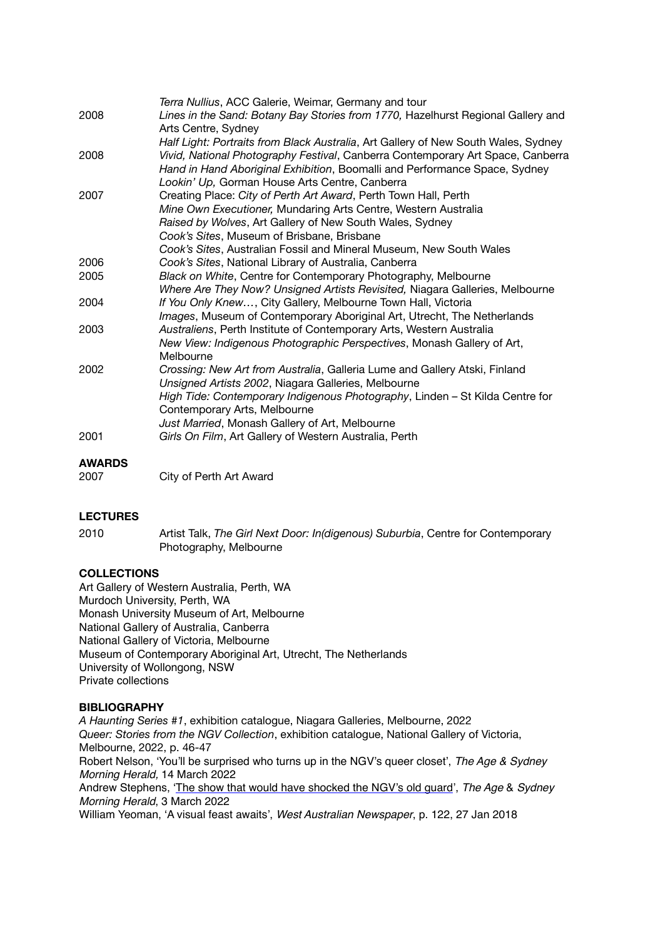|      | Terra Nullius, ACC Galerie, Weimar, Germany and tour                               |
|------|------------------------------------------------------------------------------------|
| 2008 | Lines in the Sand: Botany Bay Stories from 1770, Hazelhurst Regional Gallery and   |
|      | Arts Centre, Sydney                                                                |
|      | Half Light: Portraits from Black Australia, Art Gallery of New South Wales, Sydney |
| 2008 | Vivid, National Photography Festival, Canberra Contemporary Art Space, Canberra    |
|      | Hand in Hand Aboriginal Exhibition, Boomalli and Performance Space, Sydney         |
|      | Lookin' Up, Gorman House Arts Centre, Canberra                                     |
| 2007 | Creating Place: City of Perth Art Award, Perth Town Hall, Perth                    |
|      | Mine Own Executioner, Mundaring Arts Centre, Western Australia                     |
|      | Raised by Wolves, Art Gallery of New South Wales, Sydney                           |
|      | Cook's Sites, Museum of Brisbane, Brisbane                                         |
|      | Cook's Sites, Australian Fossil and Mineral Museum, New South Wales                |
| 2006 | Cook's Sites, National Library of Australia, Canberra                              |
| 2005 | Black on White, Centre for Contemporary Photography, Melbourne                     |
|      | Where Are They Now? Unsigned Artists Revisited, Niagara Galleries, Melbourne       |
| 2004 | If You Only Knew, City Gallery, Melbourne Town Hall, Victoria                      |
|      | Images, Museum of Contemporary Aboriginal Art, Utrecht, The Netherlands            |
| 2003 | Australiens, Perth Institute of Contemporary Arts, Western Australia               |
|      | New View: Indigenous Photographic Perspectives, Monash Gallery of Art,             |
|      | Melbourne                                                                          |
| 2002 | Crossing: New Art from Australia, Galleria Lume and Gallery Atski, Finland         |
|      | Unsigned Artists 2002, Niagara Galleries, Melbourne                                |
|      | High Tide: Contemporary Indigenous Photography, Linden - St Kilda Centre for       |
|      | Contemporary Arts, Melbourne                                                       |
|      | Just Married, Monash Gallery of Art, Melbourne                                     |
| 2001 | Girls On Film, Art Gallery of Western Australia, Perth                             |
|      |                                                                                    |

# **AWARDS**

| 2007 | City of Perth Art Award |
|------|-------------------------|
|------|-------------------------|

## **LECTURES**

2010 Artist Talk, *The Girl Next Door: In(digenous) Suburbia*, Centre for Contemporary Photography, Melbourne

# **COLLECTIONS**

Art Gallery of Western Australia, Perth, WA Murdoch University, Perth, WA Monash University Museum of Art, Melbourne National Gallery of Australia, Canberra National Gallery of Victoria, Melbourne Museum of Contemporary Aboriginal Art, Utrecht, The Netherlands University of Wollongong, NSW Private collections

## **BIBLIOGRAPHY**

*A Haunting Series #1*, exhibition catalogue, Niagara Galleries, Melbourne, 2022 *Queer: Stories from the NGV Collection*, exhibition catalogue, National Gallery of Victoria, Melbourne, 2022, p. 46-47 Robert Nelson, 'You'll be surprised who turns up in the NGV's queer closet', *The Age & Sydney Morning Herald,* 14 March 2022 Andrew Stephens, '[The show that would have shocked the NGV's old guard](https://www.smh.com.au/culture/art-and-design/hiding-in-plain-sight-queer-unearths-the-ngv-works-that-should-have-shocked-the-old-guard-20220218-p59xtm.html)', *The Age* & *Sydney Morning Herald*, 3 March 2022 William Yeoman, 'A visual feast awaits', *West Australian Newspaper*, p. 122, 27 Jan 2018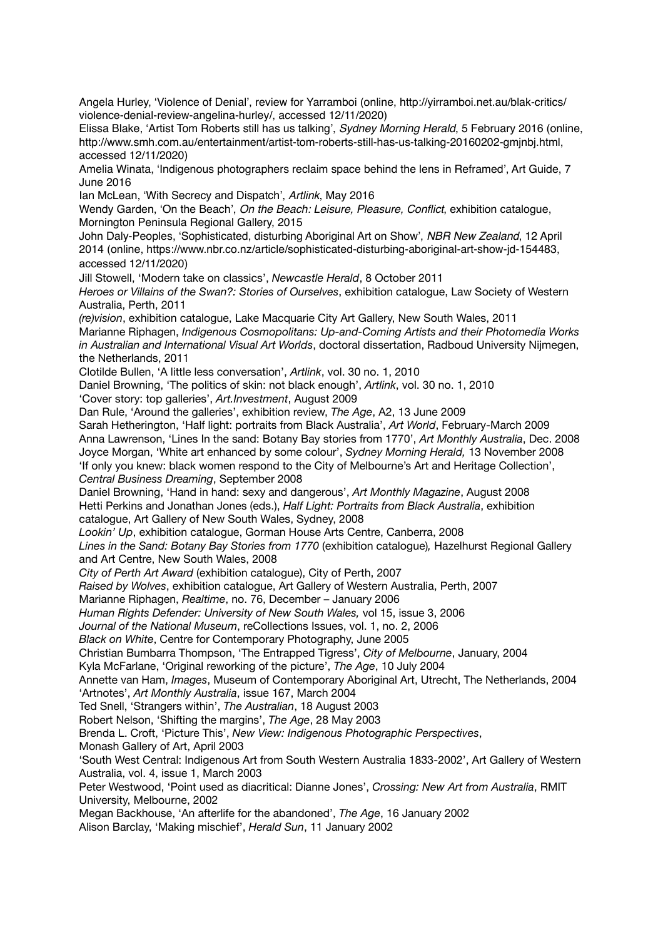Angela Hurley, 'Violence of Denial', review for Yarramboi (online, http://yirramboi.net.au/blak-critics/ violence-denial-review-angelina-hurley/, accessed 12/11/2020)

Elissa Blake, 'Artist Tom Roberts still has us talking', *Sydney Morning Herald*, 5 February 2016 (online, [http://www.smh.com.au/entertainment/artist-tom-roberts-still-has-us-talking-20160202-gmjnbj.html,](http://www.smh.com.au/entertainment/artist-tom-roberts-still-has-us-talking-20160202-gmjnbj.html) accessed 12/11/2020)

Amelia Winata, 'Indigenous photographers reclaim space behind the lens in Reframed', Art Guide, 7 June 2016

Ian McLean, 'With Secrecy and Dispatch', *Artlink*, May 2016

Wendy Garden, 'On the Beach', *On the Beach: Leisure, Pleasure, Conflict*, exhibition catalogue, Mornington Peninsula Regional Gallery, 2015

John Daly-Peoples, 'Sophisticated, disturbing Aboriginal Art on Show', *NBR New Zealand*, 12 April 2014 (online,<https://www.nbr.co.nz/article/sophisticated-disturbing-aboriginal-art-show-jd-154483>, accessed 12/11/2020)

Jill Stowell, 'Modern take on classics', *Newcastle Herald*, 8 October 2011

*Heroes or Villains of the Swan?: Stories of Ourselves*, exhibition catalogue, Law Society of Western Australia, Perth, 2011

*(re)vision*, exhibition catalogue, Lake Macquarie City Art Gallery, New South Wales, 2011 Marianne Riphagen, *Indigenous Cosmopolitans: Up-and-Coming Artists and their Photomedia Works in Australian and International Visual Art Worlds*, doctoral dissertation, Radboud University Nijmegen, the Netherlands, 2011

Clotilde Bullen, 'A little less conversation', *Artlink*, vol. 30 no. 1, 2010

Daniel Browning, 'The politics of skin: not black enough', *Artlink*, vol. 30 no. 1, 2010

'Cover story: top galleries', *Art.Investment*, August 2009

Dan Rule, 'Around the galleries', exhibition review, *The Age*, A2, 13 June 2009

Sarah Hetherington, 'Half light: portraits from Black Australia', *Art World*, February-March 2009 Anna Lawrenson, 'Lines In the sand: Botany Bay stories from 1770', *Art Monthly Australia*, Dec. 2008 Joyce Morgan, 'White art enhanced by some colour', *Sydney Morning Herald,* 13 November 2008 'If only you knew: black women respond to the City of Melbourne's Art and Heritage Collection', *Central Business Dreaming*, September 2008

Daniel Browning, 'Hand in hand: sexy and dangerous', *Art Monthly Magazine*, August 2008 Hetti Perkins and Jonathan Jones (eds.), *Half Light: Portraits from Black Australia*, exhibition catalogue, Art Gallery of New South Wales, Sydney, 2008

*Lookin' Up*, exhibition catalogue, Gorman House Arts Centre, Canberra, 2008

*Lines in the Sand: Botany Bay Stories from 1770* (exhibition catalogue)*,* Hazelhurst Regional Gallery and Art Centre, New South Wales, 2008

*City of Perth Art Award* (exhibition catalogue), City of Perth, 2007

*Raised by Wolves*, exhibition catalogue, Art Gallery of Western Australia, Perth, 2007

Marianne Riphagen, *Realtime*, no. 76, December – January 2006

*Human Rights Defender: University of New South Wales,* vol 15, issue 3, 2006

*Journal of the National Museum*, reCollections Issues, vol. 1, no. 2, 2006

*Black on White*, Centre for Contemporary Photography, June 2005

Christian Bumbarra Thompson, 'The Entrapped Tigress', *City of Melbourne*, January, 2004

Kyla McFarlane, 'Original reworking of the picture', *The Age*, 10 July 2004

Annette van Ham, *Images*, Museum of Contemporary Aboriginal Art, Utrecht, The Netherlands, 2004

'Artnotes', *Art Monthly Australia*, issue 167, March 2004

Ted Snell, 'Strangers within', *The Australian*, 18 August 2003

Robert Nelson, 'Shifting the margins', *The Age*, 28 May 2003

Brenda L. Croft, 'Picture This', *New View: Indigenous Photographic Perspectives*,

Monash Gallery of Art, April 2003

'South West Central: Indigenous Art from South Western Australia 1833-2002', Art Gallery of Western Australia, vol. 4, issue 1, March 2003

Peter Westwood, 'Point used as diacritical: Dianne Jones', *Crossing: New Art from Australia*, RMIT University, Melbourne, 2002

Megan Backhouse, 'An afterlife for the abandoned', *The Age*, 16 January 2002

Alison Barclay, 'Making mischief', *Herald Sun*, 11 January 2002